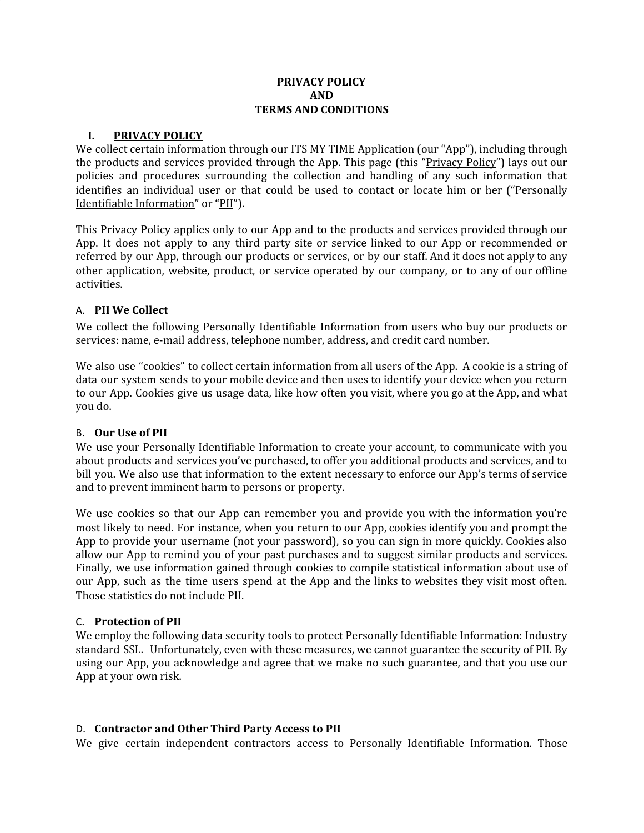## **PRIVACY POLICY AND TERMS AND CONDITIONS**

#### **I. PRIVACY POLICY**

We collect certain information through our ITS MY TIME Application (our "App"), including through the products and services provided through the App. This page (this "Privacy Policy") lays out our policies and procedures surrounding the collection and handling of any such information that identifies an individual user or that could be used to contact or locate him or her ("Personally Identifiable Information" or "PII").

This Privacy Policy applies only to our App and to the products and services provided through our App. It does not apply to any third party site or service linked to our App or recommended or referred by our App, through our products or services, or by our staff. And it does not apply to any other application, website, product, or service operated by our company, or to any of our offline activities.

#### A. **PII We Collect**

We collect the following Personally Identifiable Information from users who buy our products or services: name, e-mail address, telephone number, address, and credit card number.

We also use "cookies" to collect certain information from all users of the App. A cookie is a string of data our system sends to your mobile device and then uses to identify your device when you return to our App. Cookies give us usage data, like how often you visit, where you go at the App, and what you do.

#### B. **Our Use of PII**

We use your Personally Identifiable Information to create your account, to communicate with you about products and services you've purchased, to offer you additional products and services, and to bill you. We also use that information to the extent necessary to enforce our App's terms of service and to prevent imminent harm to persons or property.

We use cookies so that our App can remember you and provide you with the information you're most likely to need. For instance, when you return to our App, cookies identify you and prompt the App to provide your username (not your password), so you can sign in more quickly. Cookies also allow our App to remind you of your past purchases and to suggest similar products and services. Finally, we use information gained through cookies to compile statistical information about use of our App, such as the time users spend at the App and the links to websites they visit most often. Those statistics do not include PII.

#### C. **Protection of PII**

We employ the following data security tools to protect Personally Identifiable Information: Industry standard SSL. Unfortunately, even with these measures, we cannot guarantee the security of PII. By using our App, you acknowledge and agree that we make no such guarantee, and that you use our App at your own risk.

# D. **Contractor and Other Third Party Access to PII**

We give certain independent contractors access to Personally Identifiable Information. Those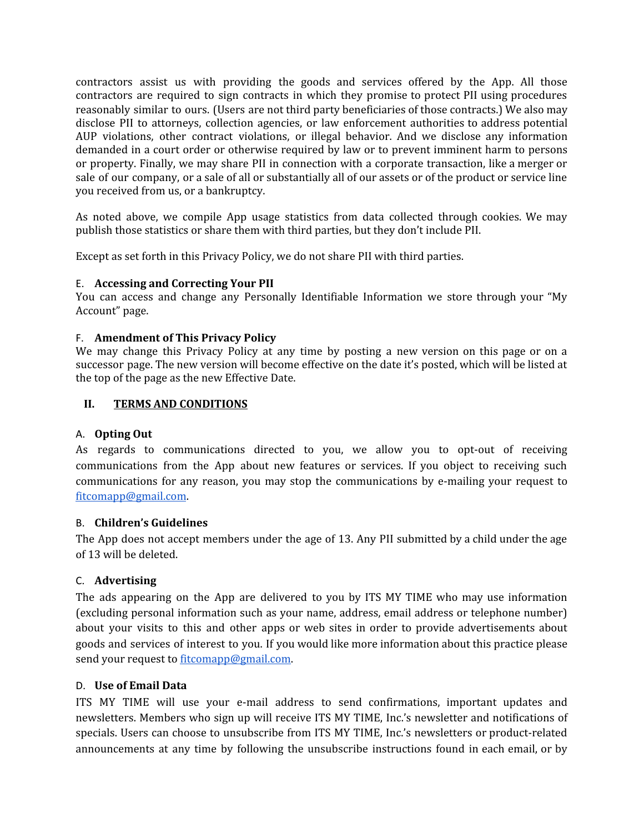contractors assist us with providing the goods and services offered by the App. All those contractors are required to sign contracts in which they promise to protect PII using procedures reasonably similar to ours. (Users are not third party beneficiaries of those contracts.) We also may disclose PII to attorneys, collection agencies, or law enforcement authorities to address potential AUP violations, other contract violations, or illegal behavior. And we disclose any information demanded in a court order or otherwise required by law or to prevent imminent harm to persons or property. Finally, we may share PII in connection with a corporate transaction, like a merger or sale of our company, or a sale of all or substantially all of our assets or of the product or service line you received from us, or a bankruptcy.

As noted above, we compile App usage statistics from data collected through cookies. We may publish those statistics or share them with third parties, but they don't include PII.

Except as set forth in this Privacy Policy, we do not share PII with third parties.

# E. **Accessing and Correcting Your PII**

You can access and change any Personally Identifiable Information we store through your "My Account" page.

## F. **Amendment of This Privacy Policy**

We may change this Privacy Policy at any time by posting a new version on this page or on a successor page. The new version will become effective on the date it's posted, which will be listed at the top of the page as the new Effective Date.

## **II. TERMS AND CONDITIONS**

## A. **Opting Out**

As regards to communications directed to you, we allow you to opt-out of receiving communications from the App about new features or services. If you object to receiving such communications for any reason, you may stop the communications by e-mailing your request to [fitcomapp@gmail.com](mailto:fitcomapp@gmail.com).

## B. **Children's Guidelines**

The App does not accept members under the age of 13. Any PII submitted by a child under the age of 13 will be deleted.

# C. **Advertising**

The ads appearing on the App are delivered to you by ITS MY TIME who may use information (excluding personal information such as your name, address, email address or telephone number) about your visits to this and other apps or web sites in order to provide advertisements about goods and services of interest to you. If you would like more information about this practice please send your request to [fitcomapp@gmail.com.](mailto:fitcomapp@gmail.com)

#### D. **Use of Email Data**

ITS MY TIME will use your e-mail address to send confirmations, important updates and newsletters. Members who sign up will receive ITS MY TIME, Inc.'s newsletter and notifications of specials. Users can choose to unsubscribe from ITS MY TIME, Inc.'s newsletters or product-related announcements at any time by following the unsubscribe instructions found in each email, or by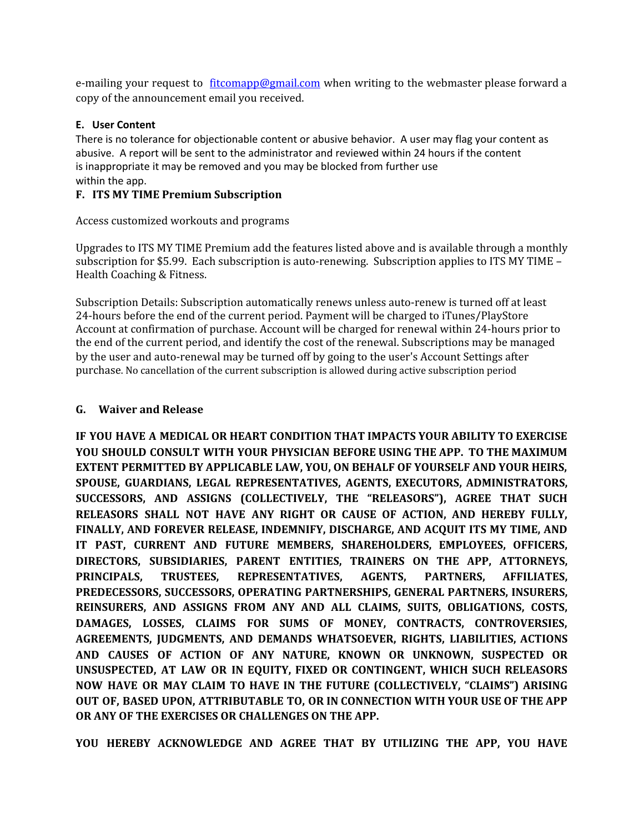e-mailing your request to [fitcomapp@gmail.com](mailto:fitcommapp@gmail.com) when writing to the webmaster please forward a copy of the announcement email you received.

## **E. User Content**

There is no tolerance for objectionable content or abusive behavior. A user may flag your content as abusive. A report will be sent to the administrator and reviewed within 24 hours if the content is inappropriate it may be removed and you may be blocked from further use within the app.

## **F. ITS MY TIME Premium Subscription**

Access customized workouts and programs

Upgrades to ITS MY TIME Premium add the features listed above and is available through a monthly subscription for \$5.99. Each subscription is auto-renewing. Subscription applies to ITS MY TIME – Health Coaching & Fitness.

Subscription Details: Subscription automatically renews unless auto-renew is turned off at least 24-hours before the end of the current period. Payment will be charged to iTunes/PlayStore Account at confirmation of purchase. Account will be charged for renewal within 24-hours prior to the end of the current period, and identify the cost of the renewal. Subscriptions may be managed by the user and auto-renewal may be turned off by going to the user's Account Settings after purchase. No cancellation of the current subscription is allowed during active subscription period

## **G. Waiver and Release**

**IF YOU HAVE A MEDICAL OR HEART CONDITION THAT IMPACTS YOUR ABILITY TO EXERCISE YOU SHOULD CONSULT WITH YOUR PHYSICIAN BEFORE USING THE APP. TO THE MAXIMUM EXTENT PERMITTED BY APPLICABLE LAW, YOU, ON BEHALF OF YOURSELF AND YOUR HEIRS, SPOUSE, GUARDIANS, LEGAL REPRESENTATIVES, AGENTS, EXECUTORS, ADMINISTRATORS, SUCCESSORS, AND ASSIGNS (COLLECTIVELY, THE "RELEASORS"), AGREE THAT SUCH RELEASORS SHALL NOT HAVE ANY RIGHT OR CAUSE OF ACTION, AND HEREBY FULLY, FINALLY, AND FOREVER RELEASE, INDEMNIFY, DISCHARGE, AND ACQUIT ITS MY TIME, AND IT PAST, CURRENT AND FUTURE MEMBERS, SHAREHOLDERS, EMPLOYEES, OFFICERS, DIRECTORS, SUBSIDIARIES, PARENT ENTITIES, TRAINERS ON THE APP, ATTORNEYS, PRINCIPALS, TRUSTEES, REPRESENTATIVES, AGENTS, PARTNERS, AFFILIATES, PREDECESSORS, SUCCESSORS, OPERATING PARTNERSHIPS, GENERAL PARTNERS, INSURERS, REINSURERS, AND ASSIGNS FROM ANY AND ALL CLAIMS, SUITS, OBLIGATIONS, COSTS, DAMAGES, LOSSES, CLAIMS FOR SUMS OF MONEY, CONTRACTS, CONTROVERSIES, AGREEMENTS, JUDGMENTS, AND DEMANDS WHATSOEVER, RIGHTS, LIABILITIES, ACTIONS AND CAUSES OF ACTION OF ANY NATURE, KNOWN OR UNKNOWN, SUSPECTED OR UNSUSPECTED, AT LAW OR IN EQUITY, FIXED OR CONTINGENT, WHICH SUCH RELEASORS NOW HAVE OR MAY CLAIM TO HAVE IN THE FUTURE (COLLECTIVELY, "CLAIMS") ARISING OUT OF, BASED UPON, ATTRIBUTABLE TO, OR IN CONNECTION WITH YOUR USE OF THE APP OR ANY OF THE EXERCISES OR CHALLENGES ON THE APP.**

**YOU HEREBY ACKNOWLEDGE AND AGREE THAT BY UTILIZING THE APP, YOU HAVE**